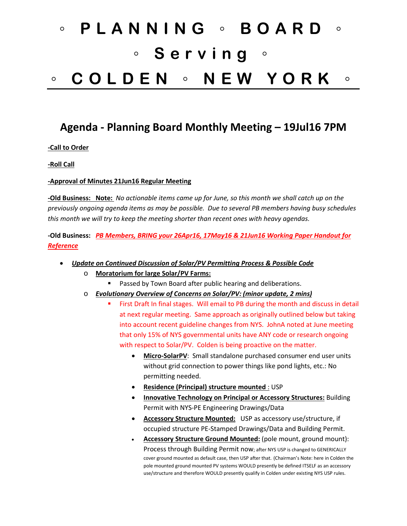# ◦ **PLANNING** ◦ **BOARD** ◦ ◦ **Serving** ◦ ◦ **COLDEN** ◦ **NEW YORK** ◦

## **Agenda - Planning Board Monthly Meeting – 19Jul16 7PM**

**-Call to Order**

**-Roll Call**

#### **-Approval of Minutes 21Jun16 Regular Meeting**

**-Old Business: Note:** *No actionable items came up for June, so this month we shall catch up on the previously ongoing agenda items as may be possible. Due to several PB members having busy schedules this month we will try to keep the meeting shorter than recent ones with heavy agendas.* 

#### **-Old Business:** *PB Members, BRING your 26Apr16, 17May16 & 21Jun16 Working Paper Handout for Reference*

- *Update on Continued Discussion of Solar/PV Permitting Process & Possible Code*
	- **Moratorium for large Solar/PV Farms:** 
		- Passed by Town Board after public hearing and deliberations.
	- o *Evolutionary Overview of Concerns on Solar/PV: (minor update, 2 mins)*
		- First Draft In final stages. Will email to PB during the month and discuss in detail at next regular meeting. Same approach as originally outlined below but taking into account recent guideline changes from NYS. JohnA noted at June meeting that only 15% of NYS governmental units have ANY code or research ongoing with respect to Solar/PV. Colden is being proactive on the matter.
			- **Micro-SolarPV**: Small standalone purchased consumer end user units without grid connection to power things like pond lights, etc.: No permitting needed.
			- **Residence (Principal) structure mounted** : USP
			- **Innovative Technology on Principal or Accessory Structures:** Building Permit with NYS-PE Engineering Drawings/Data
			- **Accessory Structure Mounted:** USP as accessory use/structure, if occupied structure PE-Stamped Drawings/Data and Building Permit.
			- **Accessory Structure Ground Mounted:** (pole mount, ground mount): Process through Building Permit now; after NYS USP is changed to GENERICALLY cover ground mounted as default case, then USP after that. (Chairman's Note: here in Colden the pole mounted ground mounted PV systems WOULD presently be defined ITSELF as an accessory use/structure and therefore WOULD presently qualify in Colden under existing NYS USP rules.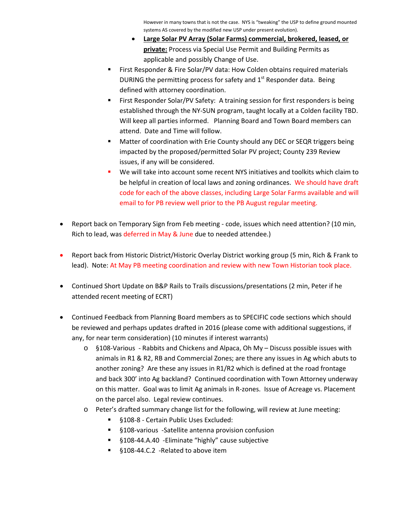However in many towns that is not the case. NYS is "tweaking" the USP to define ground mounted systems AS covered by the modified new USP under present evolution).

- **Large Solar PV Array (Solar Farms) commercial, brokered, leased, or private:** Process via Special Use Permit and Building Permits as applicable and possibly Change of Use.
- First Responder & Fire Solar/PV data: How Colden obtains required materials DURING the permitting process for safety and  $1<sup>st</sup>$  Responder data. Being defined with attorney coordination.
- First Responder Solar/PV Safety: A training session for first responders is being established through the NY-SUN program, taught locally at a Colden facility TBD. Will keep all parties informed. Planning Board and Town Board members can attend. Date and Time will follow.
- Matter of coordination with Erie County should any DEC or SEQR triggers being impacted by the proposed/permitted Solar PV project; County 239 Review issues, if any will be considered.
- We will take into account some recent NYS initiatives and toolkits which claim to be helpful in creation of local laws and zoning ordinances. We should have draft code for each of the above classes, including Large Solar Farms available and will email to for PB review well prior to the PB August regular meeting.
- Report back on Temporary Sign from Feb meeting code, issues which need attention? (10 min, Rich to lead, was deferred in May & June due to needed attendee.)
- Report back from Historic District/Historic Overlay District working group (5 min, Rich & Frank to lead). Note: At May PB meeting coordination and review with new Town Historian took place.
- Continued Short Update on B&P Rails to Trails discussions/presentations (2 min, Peter if he attended recent meeting of ECRT)
- Continued Feedback from Planning Board members as to SPECIFIC code sections which should be reviewed and perhaps updates drafted in 2016 (please come with additional suggestions, if any, for near term consideration) (10 minutes if interest warrants)
	- $\circ$  §108-Various Rabbits and Chickens and Alpaca, Oh My Discuss possible issues with animals in R1 & R2, RB and Commercial Zones; are there any issues in Ag which abuts to another zoning? Are these any issues in R1/R2 which is defined at the road frontage and back 300' into Ag backland? Continued coordination with Town Attorney underway on this matter. Goal was to limit Ag animals in R-zones. Issue of Acreage vs. Placement on the parcel also. Legal review continues.
	- o Peter's drafted summary change list for the following, will review at June meeting:
		- §108-8 Certain Public Uses Excluded:
		- §108-various -Satellite antenna provision confusion
		- §108-44.A.40 -Eliminate "highly" cause subjective
		- §108-44.C.2 -Related to above item